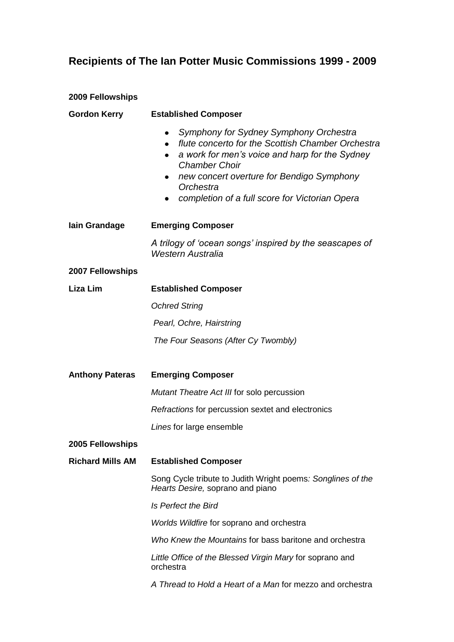## **Recipients of The Ian Potter Music Commissions 1999 - 2009**

| <b>2009 Fellowships</b> |                                                                                                                                                                                                                                                                                                                               |  |
|-------------------------|-------------------------------------------------------------------------------------------------------------------------------------------------------------------------------------------------------------------------------------------------------------------------------------------------------------------------------|--|
| <b>Gordon Kerry</b>     | <b>Established Composer</b>                                                                                                                                                                                                                                                                                                   |  |
|                         | Symphony for Sydney Symphony Orchestra<br>flute concerto for the Scottish Chamber Orchestra<br>$\bullet$<br>a work for men's voice and harp for the Sydney<br>$\bullet$<br><b>Chamber Choir</b><br>new concert overture for Bendigo Symphony<br>$\bullet$<br>Orchestra<br>completion of a full score for Victorian Opera<br>٠ |  |
| lain Grandage           | <b>Emerging Composer</b>                                                                                                                                                                                                                                                                                                      |  |
|                         | A trilogy of 'ocean songs' inspired by the seascapes of<br><b>Western Australia</b>                                                                                                                                                                                                                                           |  |
| 2007 Fellowships        |                                                                                                                                                                                                                                                                                                                               |  |
| Liza Lim                | <b>Established Composer</b>                                                                                                                                                                                                                                                                                                   |  |
|                         | <b>Ochred String</b>                                                                                                                                                                                                                                                                                                          |  |
|                         | Pearl, Ochre, Hairstring                                                                                                                                                                                                                                                                                                      |  |
|                         | The Four Seasons (After Cy Twombly)                                                                                                                                                                                                                                                                                           |  |
| <b>Anthony Pateras</b>  | <b>Emerging Composer</b>                                                                                                                                                                                                                                                                                                      |  |
|                         | Mutant Theatre Act III for solo percussion                                                                                                                                                                                                                                                                                    |  |
|                         | Refractions for percussion sextet and electronics                                                                                                                                                                                                                                                                             |  |
|                         | Lines for large ensemble                                                                                                                                                                                                                                                                                                      |  |
| 2005 Fellowships        |                                                                                                                                                                                                                                                                                                                               |  |
| <b>Richard Mills AM</b> | <b>Established Composer</b>                                                                                                                                                                                                                                                                                                   |  |
|                         | Song Cycle tribute to Judith Wright poems: Songlines of the<br>Hearts Desire, soprano and piano                                                                                                                                                                                                                               |  |
|                         | Is Perfect the Bird                                                                                                                                                                                                                                                                                                           |  |
|                         | Worlds Wildfire for soprano and orchestra                                                                                                                                                                                                                                                                                     |  |
|                         | Who Knew the Mountains for bass baritone and orchestra                                                                                                                                                                                                                                                                        |  |
|                         | Little Office of the Blessed Virgin Mary for soprano and<br>orchestra                                                                                                                                                                                                                                                         |  |
|                         | A Thread to Hold a Heart of a Man for mezzo and orchestra                                                                                                                                                                                                                                                                     |  |